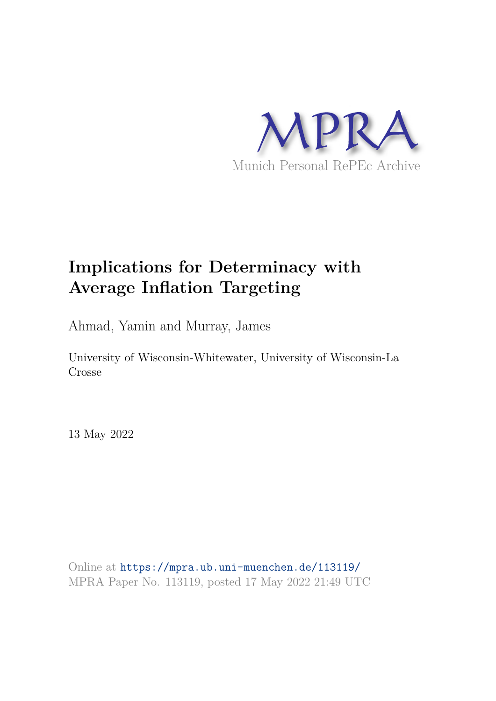

# **Implications for Determinacy with Average Inflation Targeting**

Ahmad, Yamin and Murray, James

University of Wisconsin-Whitewater, University of Wisconsin-La Crosse

13 May 2022

Online at https://mpra.ub.uni-muenchen.de/113119/ MPRA Paper No. 113119, posted 17 May 2022 21:49 UTC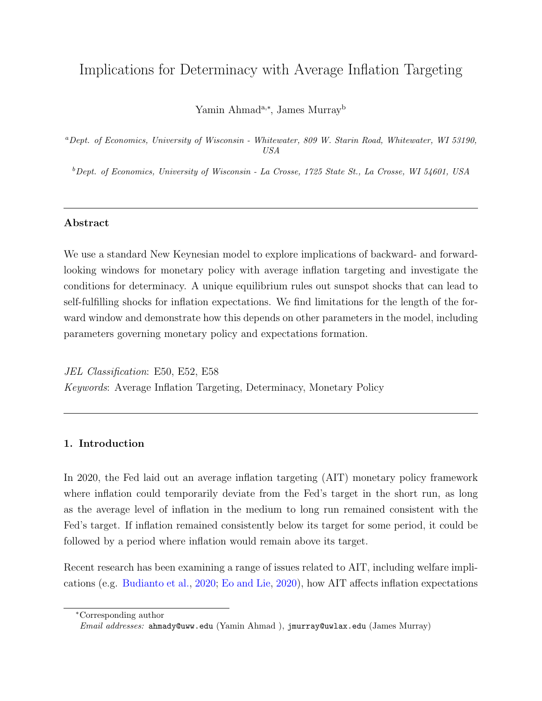# Implications for Determinacy with Average Inflation Targeting

Yamin Ahmad<sup>a,∗</sup>, James Murray<sup>b</sup>

<sup>a</sup>*Dept. of Economics, University of Wisconsin - Whitewater, 809 W. Starin Road, Whitewater, WI 53190, USA*

<sup>b</sup>*Dept. of Economics, University of Wisconsin - La Crosse, 1725 State St., La Crosse, WI 54601, USA*

# Abstract

We use a standard New Keynesian model to explore implications of backward- and forwardlooking windows for monetary policy with average inflation targeting and investigate the conditions for determinacy. A unique equilibrium rules out sunspot shocks that can lead to self-fulfilling shocks for inflation expectations. We find limitations for the length of the forward window and demonstrate how this depends on other parameters in the model, including parameters governing monetary policy and expectations formation.

JEL Classification: E50, E52, E58 Keywords: Average Inflation Targeting, Determinacy, Monetary Policy

# 1. Introduction

In 2020, the Fed laid out an average inflation targeting (AIT) monetary policy framework where inflation could temporarily deviate from the Fed's target in the short run, as long as the average level of inflation in the medium to long run remained consistent with the Fed's target. If inflation remained consistently below its target for some period, it could be followed by a period where inflation would remain above its target.

Recent research has been examining a range of issues related to AIT, including welfare implications (e.g. Budianto et al., 2020; Eo and Lie, 2020), how AIT affects inflation expectations

<sup>∗</sup>Corresponding author

*Email addresses:* ahmady@uww.edu (Yamin Ahmad ), jmurray@uwlax.edu (James Murray)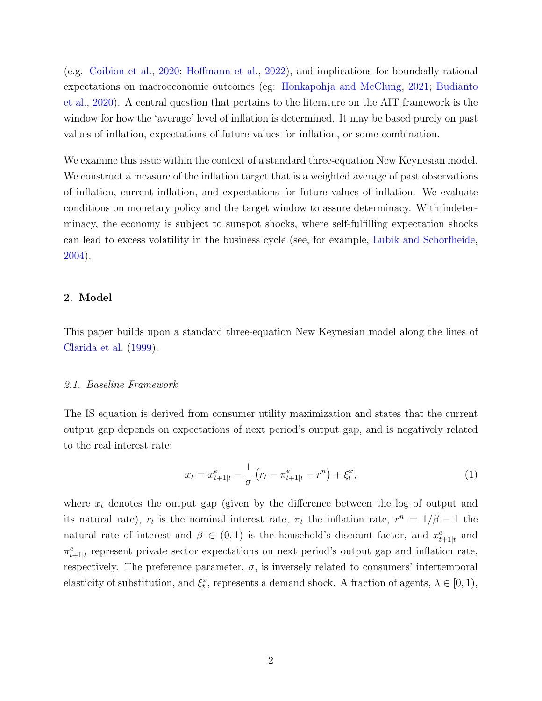(e.g. Coibion et al., 2020; Hoffmann et al., 2022), and implications for boundedly-rational expectations on macroeconomic outcomes (eg: Honkapohja and McClung, 2021; Budianto et al., 2020). A central question that pertains to the literature on the AIT framework is the window for how the 'average' level of inflation is determined. It may be based purely on past values of inflation, expectations of future values for inflation, or some combination.

We examine this issue within the context of a standard three-equation New Keynesian model. We construct a measure of the inflation target that is a weighted average of past observations of inflation, current inflation, and expectations for future values of inflation. We evaluate conditions on monetary policy and the target window to assure determinacy. With indeterminacy, the economy is subject to sunspot shocks, where self-fulfilling expectation shocks can lead to excess volatility in the business cycle (see, for example, Lubik and Schorfheide, 2004).

## 2. Model

This paper builds upon a standard three-equation New Keynesian model along the lines of Clarida et al. (1999).

#### 2.1. Baseline Framework

The IS equation is derived from consumer utility maximization and states that the current output gap depends on expectations of next period's output gap, and is negatively related to the real interest rate:

$$
x_t = x_{t+1|t}^e - \frac{1}{\sigma} \left( r_t - \pi_{t+1|t}^e - r^n \right) + \xi_t^x, \tag{1}
$$

where  $x_t$  denotes the output gap (given by the difference between the log of output and its natural rate),  $r_t$  is the nominal interest rate,  $\pi_t$  the inflation rate,  $r^n = 1/\beta - 1$  the natural rate of interest and  $\beta \in (0,1)$  is the household's discount factor, and  $x_{t+1|t}^e$  and  $\pi_{t+1|t}^e$  represent private sector expectations on next period's output gap and inflation rate, respectively. The preference parameter,  $\sigma$ , is inversely related to consumers' intertemporal elasticity of substitution, and  $\xi_t^x$ , represents a demand shock. A fraction of agents,  $\lambda \in [0, 1)$ ,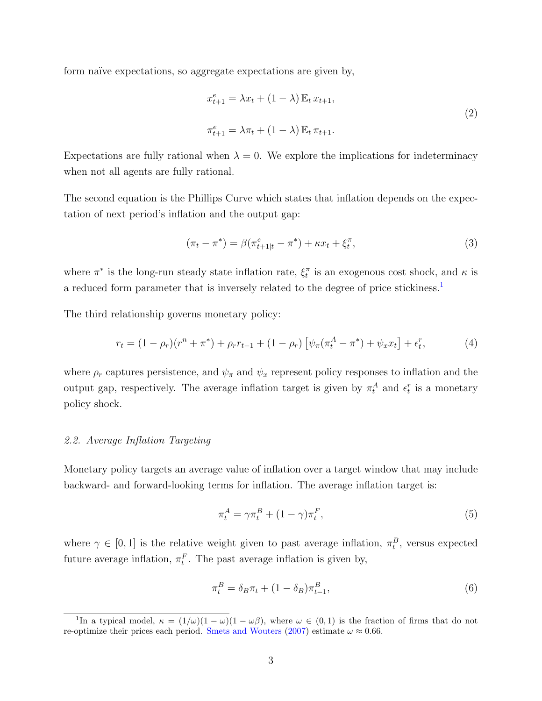form naïve expectations, so aggregate expectations are given by,

$$
x_{t+1}^e = \lambda x_t + (1 - \lambda) \mathbb{E}_t x_{t+1},
$$
  
\n
$$
\pi_{t+1}^e = \lambda \pi_t + (1 - \lambda) \mathbb{E}_t \pi_{t+1}.
$$
\n(2)

Expectations are fully rational when  $\lambda = 0$ . We explore the implications for indeterminacy when not all agents are fully rational.

The second equation is the Phillips Curve which states that inflation depends on the expectation of next period's inflation and the output gap:

$$
(\pi_t - \pi^*) = \beta(\pi_{t+1|t}^e - \pi^*) + \kappa x_t + \xi_t^{\pi}, \tag{3}
$$

where  $\pi^*$  is the long-run steady state inflation rate,  $\xi_t^{\pi}$  is an exogenous cost shock, and  $\kappa$  is a reduced form parameter that is inversely related to the degree of price stickiness.<sup>1</sup>

The third relationship governs monetary policy:

$$
r_t = (1 - \rho_r)(r^n + \pi^*) + \rho_r r_{t-1} + (1 - \rho_r) \left[ \psi_\pi (\pi_t^A - \pi^*) + \psi_x x_t \right] + \epsilon_t^r, \tag{4}
$$

where  $\rho_r$  captures persistence, and  $\psi_\pi$  and  $\psi_x$  represent policy responses to inflation and the output gap, respectively. The average inflation target is given by  $\pi_t^A$  and  $\epsilon_t^r$  is a monetary policy shock.

#### 2.2. Average Inflation Targeting

Monetary policy targets an average value of inflation over a target window that may include backward- and forward-looking terms for inflation. The average inflation target is:

$$
\pi_t^A = \gamma \pi_t^B + (1 - \gamma) \pi_t^F,\tag{5}
$$

where  $\gamma \in [0,1]$  is the relative weight given to past average inflation,  $\pi_t^B$ , versus expected future average inflation,  $\pi_t^F$ . The past average inflation is given by,

$$
\pi_t^B = \delta_B \pi_t + (1 - \delta_B) \pi_{t-1}^B,
$$
\n(6)

<sup>&</sup>lt;sup>1</sup>In a typical model,  $\kappa = (1/\omega)(1 - \omega)(1 - \omega\beta)$ , where  $\omega \in (0, 1)$  is the fraction of firms that do not re-optimize their prices each period. Smets and Wouters (2007) estimate  $\omega \approx 0.66$ .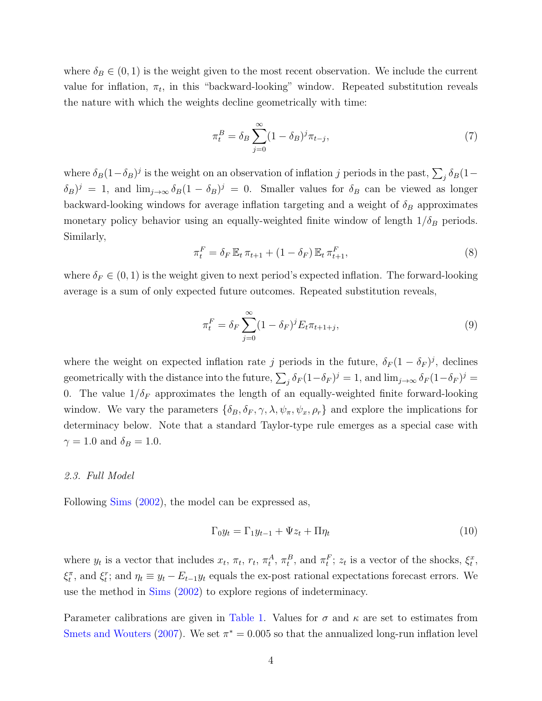where  $\delta_B \in (0,1)$  is the weight given to the most recent observation. We include the current value for inflation,  $\pi_t$ , in this "backward-looking" window. Repeated substitution reveals the nature with which the weights decline geometrically with time:

$$
\pi_t^B = \delta_B \sum_{j=0}^{\infty} (1 - \delta_B)^j \pi_{t-j},\tag{7}
$$

where  $\delta_B(1-\delta_B)^j$  is the weight on an observation of inflation j periods in the past,  $\sum_j \delta_B(1-\delta_B)^j$  $(\delta_B)^j = 1$ , and  $\lim_{j\to\infty} \delta_B(1-\delta_B)^j = 0$ . Smaller values for  $\delta_B$  can be viewed as longer backward-looking windows for average inflation targeting and a weight of  $\delta_B$  approximates monetary policy behavior using an equally-weighted finite window of length  $1/\delta_B$  periods. Similarly,

$$
\pi_t^F = \delta_F \mathbb{E}_t \pi_{t+1} + (1 - \delta_F) \mathbb{E}_t \pi_{t+1}^F,
$$
\n
$$
(8)
$$

where  $\delta_F \in (0, 1)$  is the weight given to next period's expected inflation. The forward-looking average is a sum of only expected future outcomes. Repeated substitution reveals,

$$
\pi_t^F = \delta_F \sum_{j=0}^{\infty} (1 - \delta_F)^j E_t \pi_{t+1+j},
$$
\n(9)

where the weight on expected inflation rate j periods in the future,  $\delta_F (1 - \delta_F)^j$ , declines geometrically with the distance into the future,  $\sum_j \delta_F (1-\delta_F)^j = 1$ , and  $\lim_{j\to\infty} \delta_F (1-\delta_F)^j = 1$ 0. The value  $1/\delta_F$  approximates the length of an equally-weighted finite forward-looking window. We vary the parameters  $\{\delta_B, \delta_F, \gamma, \lambda, \psi_\pi, \psi_x, \rho_r\}$  and explore the implications for determinacy below. Note that a standard Taylor-type rule emerges as a special case with  $\gamma = 1.0$  and  $\delta_B = 1.0$ .

#### 2.3. Full Model

Following Sims (2002), the model can be expressed as,

$$
\Gamma_0 y_t = \Gamma_1 y_{t-1} + \Psi z_t + \Pi \eta_t \tag{10}
$$

where  $y_t$  is a vector that includes  $x_t$ ,  $\pi_t$ ,  $r_t$ ,  $\pi_t^A$ ,  $\pi_t^B$ , and  $\pi_t^F$ ;  $z_t$  is a vector of the shocks,  $\xi_t^x$ ,  $\xi_t^{\pi}$ , and  $\xi_t^r$ ; and  $\eta_t \equiv y_t - E_{t-1}y_t$  equals the ex-post rational expectations forecast errors. We use the method in Sims (2002) to explore regions of indeterminacy.

Parameter calibrations are given in Table 1. Values for  $\sigma$  and  $\kappa$  are set to estimates from Smets and Wouters (2007). We set  $\pi^* = 0.005$  so that the annualized long-run inflation level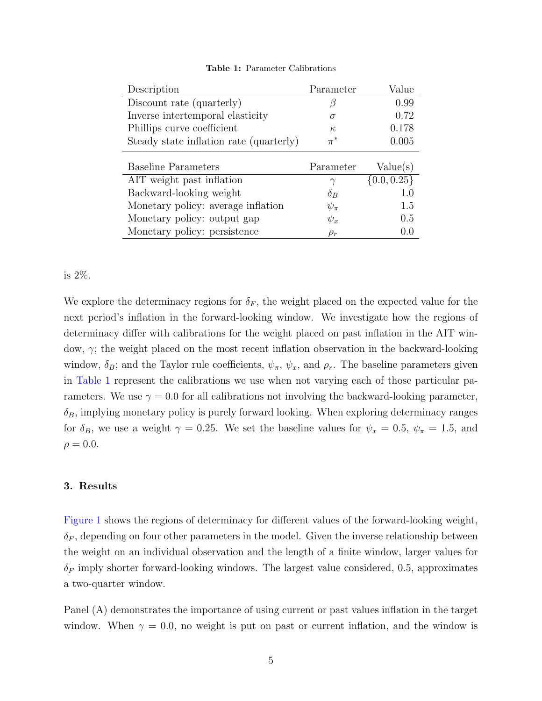| Description                             | Parameter  | Value           |
|-----------------------------------------|------------|-----------------|
| Discount rate (quarterly)               |            | 0.99            |
| Inverse intertemporal elasticity        | $\sigma$   | 0.72            |
| Phillips curve coefficient              | $\kappa$   | 0.178           |
| Steady state inflation rate (quarterly) | $\pi^*$    | 0.005           |
|                                         |            |                 |
|                                         |            |                 |
| <b>Baseline Parameters</b>              | Parameter  | Value(s)        |
| AIT weight past inflation               | $\gamma$   | $\{0.0, 0.25\}$ |
| Backward-looking weight                 | $\delta_B$ | 1.0             |
| Monetary policy: average inflation      | $\psi_\pi$ | 1.5             |
| Monetary policy: output gap             | $\psi_x$   | 0.5             |

#### Table 1: Parameter Calibrations

## is 2%.

We explore the determinacy regions for  $\delta_F$ , the weight placed on the expected value for the next period's inflation in the forward-looking window. We investigate how the regions of determinacy differ with calibrations for the weight placed on past inflation in the AIT window, γ; the weight placed on the most recent inflation observation in the backward-looking window,  $\delta_B$ ; and the Taylor rule coefficients,  $\psi_\pi$ ,  $\psi_x$ , and  $\rho_r$ . The baseline parameters given in Table 1 represent the calibrations we use when not varying each of those particular parameters. We use  $\gamma = 0.0$  for all calibrations not involving the backward-looking parameter,  $\delta_B$ , implying monetary policy is purely forward looking. When exploring determinacy ranges for  $\delta_B$ , we use a weight  $\gamma = 0.25$ . We set the baseline values for  $\psi_x = 0.5$ ,  $\psi_{\pi} = 1.5$ , and  $\rho = 0.0$ .

# 3. Results

Figure 1 shows the regions of determinacy for different values of the forward-looking weight,  $\delta_F$ , depending on four other parameters in the model. Given the inverse relationship between the weight on an individual observation and the length of a finite window, larger values for  $\delta_F$  imply shorter forward-looking windows. The largest value considered, 0.5, approximates a two-quarter window.

Panel (A) demonstrates the importance of using current or past values inflation in the target window. When  $\gamma = 0.0$ , no weight is put on past or current inflation, and the window is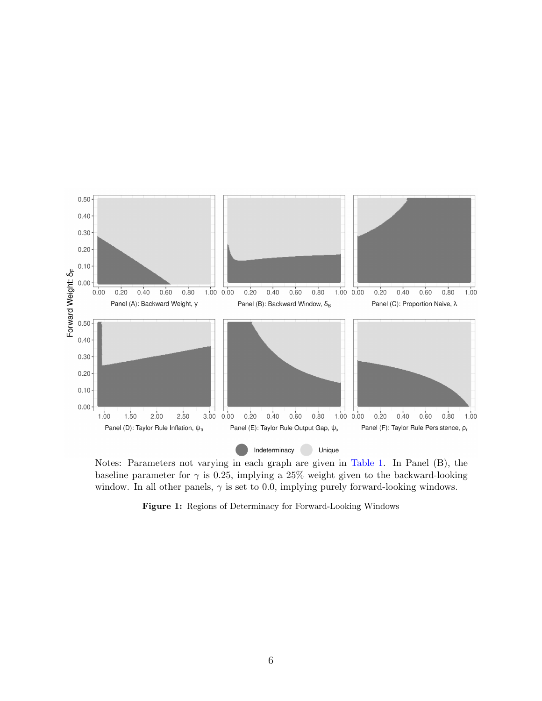

Notes: Parameters not varying in each graph are given in Table 1. In Panel (B), the baseline parameter for  $\gamma$  is 0.25, implying a 25% weight given to the backward-looking window. In all other panels,  $\gamma$  is set to 0.0, implying purely forward-looking windows.

Figure 1: Regions of Determinacy for Forward-Looking Windows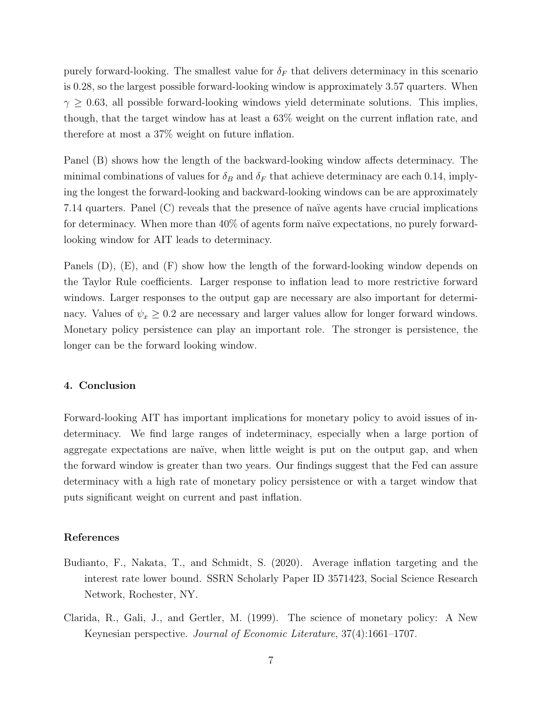purely forward-looking. The smallest value for  $\delta_F$  that delivers determinacy in this scenario is 0.28, so the largest possible forward-looking window is approximately 3.57 quarters. When  $\gamma \geq 0.63$ , all possible forward-looking windows yield determinate solutions. This implies, though, that the target window has at least a 63% weight on the current inflation rate, and therefore at most a 37% weight on future inflation.

Panel (B) shows how the length of the backward-looking window affects determinacy. The minimal combinations of values for  $\delta_B$  and  $\delta_F$  that achieve determinacy are each 0.14, implying the longest the forward-looking and backward-looking windows can be are approximately 7.14 quarters. Panel (C) reveals that the presence of na¨ıve agents have crucial implications for determinacy. When more than  $40\%$  of agents form naïve expectations, no purely forwardlooking window for AIT leads to determinacy.

Panels (D), (E), and (F) show how the length of the forward-looking window depends on the Taylor Rule coefficients. Larger response to inflation lead to more restrictive forward windows. Larger responses to the output gap are necessary are also important for determinacy. Values of  $\psi_x \geq 0.2$  are necessary and larger values allow for longer forward windows. Monetary policy persistence can play an important role. The stronger is persistence, the longer can be the forward looking window.

#### 4. Conclusion

Forward-looking AIT has important implications for monetary policy to avoid issues of indeterminacy. We find large ranges of indeterminacy, especially when a large portion of aggregate expectations are naïve, when little weight is put on the output gap, and when the forward window is greater than two years. Our findings suggest that the Fed can assure determinacy with a high rate of monetary policy persistence or with a target window that puts significant weight on current and past inflation.

# References

- Budianto, F., Nakata, T., and Schmidt, S. (2020). Average inflation targeting and the interest rate lower bound. SSRN Scholarly Paper ID 3571423, Social Science Research Network, Rochester, NY.
- Clarida, R., Gali, J., and Gertler, M. (1999). The science of monetary policy: A New Keynesian perspective. Journal of Economic Literature, 37(4):1661–1707.